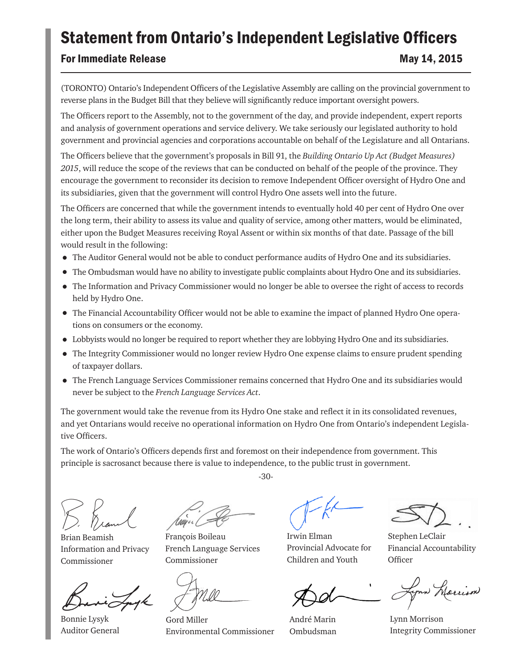## Statement from Ontario's Independent Legislative Officers

## For Immediate Release May 14, 2015

(TORONTO) Ontario's Independent Officers of the Legislative Assembly are calling on the provincial government to reverse plans in the Budget Bill that they believe will significantly reduce important oversight powers.

The Officers report to the Assembly, not to the government of the day, and provide independent, expert reports and analysis of government operations and service delivery. We take seriously our legislated authority to hold government and provincial agencies and corporations accountable on behalf of the Legislature and all Ontarians.

The Officers believe that the government's proposals in Bill 91, the *Building Ontario Up Act (Budget Measures) 2015*, will reduce the scope of the reviews that can be conducted on behalf of the people of the province. They encourage the government to reconsider its decision to remove Independent Officer oversight of Hydro One and its subsidiaries, given that the government will control Hydro One assets well into the future.

The Officers are concerned that while the government intends to eventually hold 40 per cent of Hydro One over the long term, their ability to assess its value and quality of service, among other matters, would be eliminated, either upon the Budget Measures receiving Royal Assent or within six months of that date. Passage of the bill would result in the following:

- The Auditor General would not be able to conduct performance audits of Hydro One and its subsidiaries.
- The Ombudsman would have no ability to investigate public complaints about Hydro One and its subsidiaries.
- The Information and Privacy Commissioner would no longer be able to oversee the right of access to records held by Hydro One.
- The Financial Accountability Officer would not be able to examine the impact of planned Hydro One operations on consumers or the economy.
- Lobbyists would no longer be required to report whether they are lobbying Hydro One and its subsidiaries.
- The Integrity Commissioner would no longer review Hydro One expense claims to ensure prudent spending of taxpayer dollars.
- The French Language Services Commissioner remains concerned that Hydro One and its subsidiaries would never be subject to the *French Language Services Act*.

The government would take the revenue from its Hydro One stake and reflect it in its consolidated revenues, and yet Ontarians would receive no operational information on Hydro One from Ontario's independent Legislative Officers.

-30-

The work of Ontario's Officers depends first and foremost on their independence from government. This principle is sacrosanct because there is value to independence, to the public trust in government.

Brian Beamish Information and Privacy Commissioner

Bonnie Lysyk Auditor General

Uige

François Boileau French Language Services Commissioner

Gord Miller Environmental Commissioner

Irwin Elman Provincial Advocate for Children and Youth

André Marin Ombudsman

Stephen LeClair Financial Accountability **Officer** 

your Marrison

Lynn Morrison Integrity Commissioner